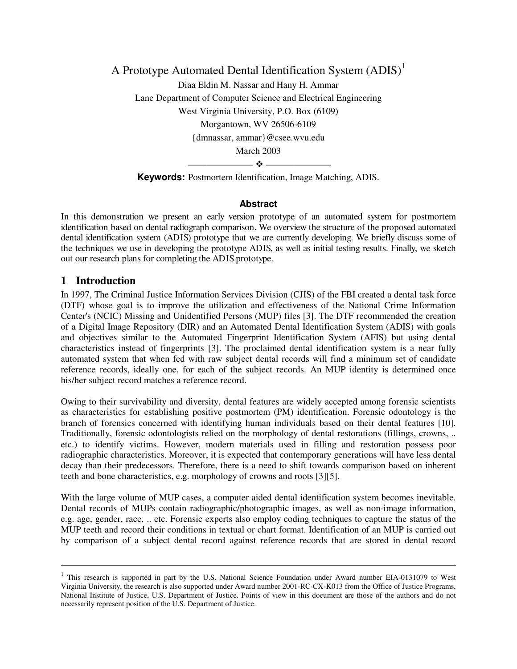A Prototype Automated Dental Identification System (ADIS)<sup>1</sup> Diaa Eldin M. Nassar and Hany H. Ammar Lane Department of Computer Science and Electrical Engineering West Virginia University, P.O. Box (6109) Morgantown, WV 26506-6109 {dmnassar, ammar}@csee.wvu.edu March 2003  $\rightarrow$ 

**Keywords:** Postmortem Identification, Image Matching, ADIS.

#### **Abstract**

In this demonstration we present an early version prototype of an automated system for postmortem identification based on dental radiograph comparison. We overview the structure of the proposed automated dental identification system (ADIS) prototype that we are currently developing. We briefly discuss some of the techniques we use in developing the prototype ADIS, as well as initial testing results. Finally, we sketch out our research plans for completing the ADIS prototype.

### **1 Introduction**

 $\ddot{\phantom{a}}$ 

In 1997, The Criminal Justice Information Services Division (CJIS) of the FBI created a dental task force (DTF) whose goal is to improve the utilization and effectiveness of the National Crime Information Center's (NCIC) Missing and Unidentified Persons (MUP) files [3]. The DTF recommended the creation of a Digital Image Repository (DIR) and an Automated Dental Identification System (ADIS) with goals and objectives similar to the Automated Fingerprint Identification System (AFIS) but using dental characteristics instead of fingerprints [3]. The proclaimed dental identification system is a near fully automated system that when fed with raw subject dental records will find a minimum set of candidate reference records, ideally one, for each of the subject records. An MUP identity is determined once his/her subject record matches a reference record.

Owing to their survivability and diversity, dental features are widely accepted among forensic scientists as characteristics for establishing positive postmortem (PM) identification. Forensic odontology is the branch of forensics concerned with identifying human individuals based on their dental features [10]. Traditionally, forensic odontologists relied on the morphology of dental restorations (fillings, crowns, .. etc.) to identify victims. However, modern materials used in filling and restoration possess poor radiographic characteristics. Moreover, it is expected that contemporary generations will have less dental decay than their predecessors. Therefore, there is a need to shift towards comparison based on inherent teeth and bone characteristics, e.g. morphology of crowns and roots [3][5].

With the large volume of MUP cases, a computer aided dental identification system becomes inevitable. Dental records of MUPs contain radiographic/photographic images, as well as non-image information, e.g. age, gender, race, .. etc. Forensic experts also employ coding techniques to capture the status of the MUP teeth and record their conditions in textual or chart format. Identification of an MUP is carried out by comparison of a subject dental record against reference records that are stored in dental record

<sup>&</sup>lt;sup>1</sup> This research is supported in part by the U.S. National Science Foundation under Award number EIA-0131079 to West Virginia University, the research is also supported under Award number 2001-RC-CX-K013 from the Office of Justice Programs, National Institute of Justice, U.S. Department of Justice. Points of view in this document are those of the authors and do not necessarily represent position of the U.S. Department of Justice.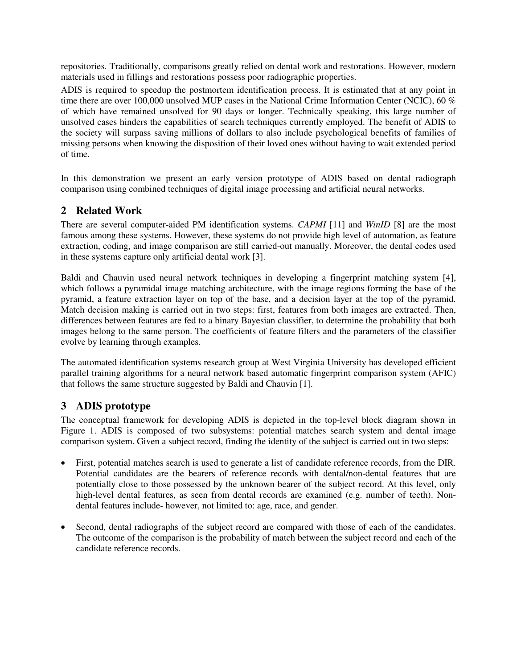repositories. Traditionally, comparisons greatly relied on dental work and restorations. However, modern materials used in fillings and restorations possess poor radiographic properties.

ADIS is required to speedup the postmortem identification process. It is estimated that at any point in time there are over 100,000 unsolved MUP cases in the National Crime Information Center (NCIC), 60 % of which have remained unsolved for 90 days or longer. Technically speaking, this large number of unsolved cases hinders the capabilities of search techniques currently employed. The benefit of ADIS to the society will surpass saving millions of dollars to also include psychological benefits of families of missing persons when knowing the disposition of their loved ones without having to wait extended period of time.

In this demonstration we present an early version prototype of ADIS based on dental radiograph comparison using combined techniques of digital image processing and artificial neural networks.

# **2 Related Work**

There are several computer-aided PM identification systems. *CAPMI* [11] and *WinID* [8] are the most famous among these systems. However, these systems do not provide high level of automation, as feature extraction, coding, and image comparison are still carried-out manually. Moreover, the dental codes used in these systems capture only artificial dental work [3].

Baldi and Chauvin used neural network techniques in developing a fingerprint matching system [4], which follows a pyramidal image matching architecture, with the image regions forming the base of the pyramid, a feature extraction layer on top of the base, and a decision layer at the top of the pyramid. Match decision making is carried out in two steps: first, features from both images are extracted. Then, differences between features are fed to a binary Bayesian classifier, to determine the probability that both images belong to the same person. The coefficients of feature filters and the parameters of the classifier evolve by learning through examples.

The automated identification systems research group at West Virginia University has developed efficient parallel training algorithms for a neural network based automatic fingerprint comparison system (AFIC) that follows the same structure suggested by Baldi and Chauvin [1].

## **3 ADIS prototype**

The conceptual framework for developing ADIS is depicted in the top-level block diagram shown in Figure 1. ADIS is composed of two subsystems: potential matches search system and dental image comparison system. Given a subject record, finding the identity of the subject is carried out in two steps:

- First, potential matches search is used to generate a list of candidate reference records, from the DIR. Potential candidates are the bearers of reference records with dental/non-dental features that are potentially close to those possessed by the unknown bearer of the subject record. At this level, only high-level dental features, as seen from dental records are examined (e.g. number of teeth). Nondental features include- however, not limited to: age, race, and gender.
- Second, dental radiographs of the subject record are compared with those of each of the candidates. The outcome of the comparison is the probability of match between the subject record and each of the candidate reference records.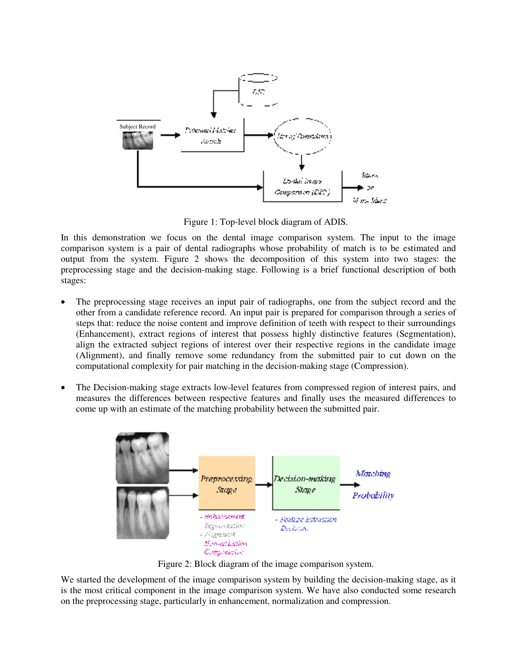

Figure 1: Top-level block diagram of ADIS.

In this demonstration we focus on the dental image comparison system. The input to the image comparison system is a pair of dental radiographs whose probability of match is to be estimated and output from the system. Figure 2 shows the decomposition of this system into two stages: the preprocessing stage and the decision-making stage. Following is a brief functional description of both stages:

- The preprocessing stage receives an input pair of radiographs, one from the subject record and the other from a candidate reference record. An input pair is prepared for comparison through a series of steps that: reduce the noise content and improve definition of teeth with respect to their surroundings (Enhancement), extract regions of interest that possess highly distinctive features (Segmentation), align the extracted subject regions of interest over their respective regions in the candidate image (Alignment), and finally remove some redundancy from the submitted pair to cut down on the computational complexity for pair matching in the decision-making stage (Compression).
- The Decision-making stage extracts low-level features from compressed region of interest pairs, and measures the differences between respective features and finally uses the measured differences to come up with an estimate of the matching probability between the submitted pair.



Figure 2: Block diagram of the image comparison system.

We started the development of the image comparison system by building the decision-making stage, as it is the most critical component in the image comparison system. We have also conducted some research on the preprocessing stage, particularly in enhancement, normalization and compression.